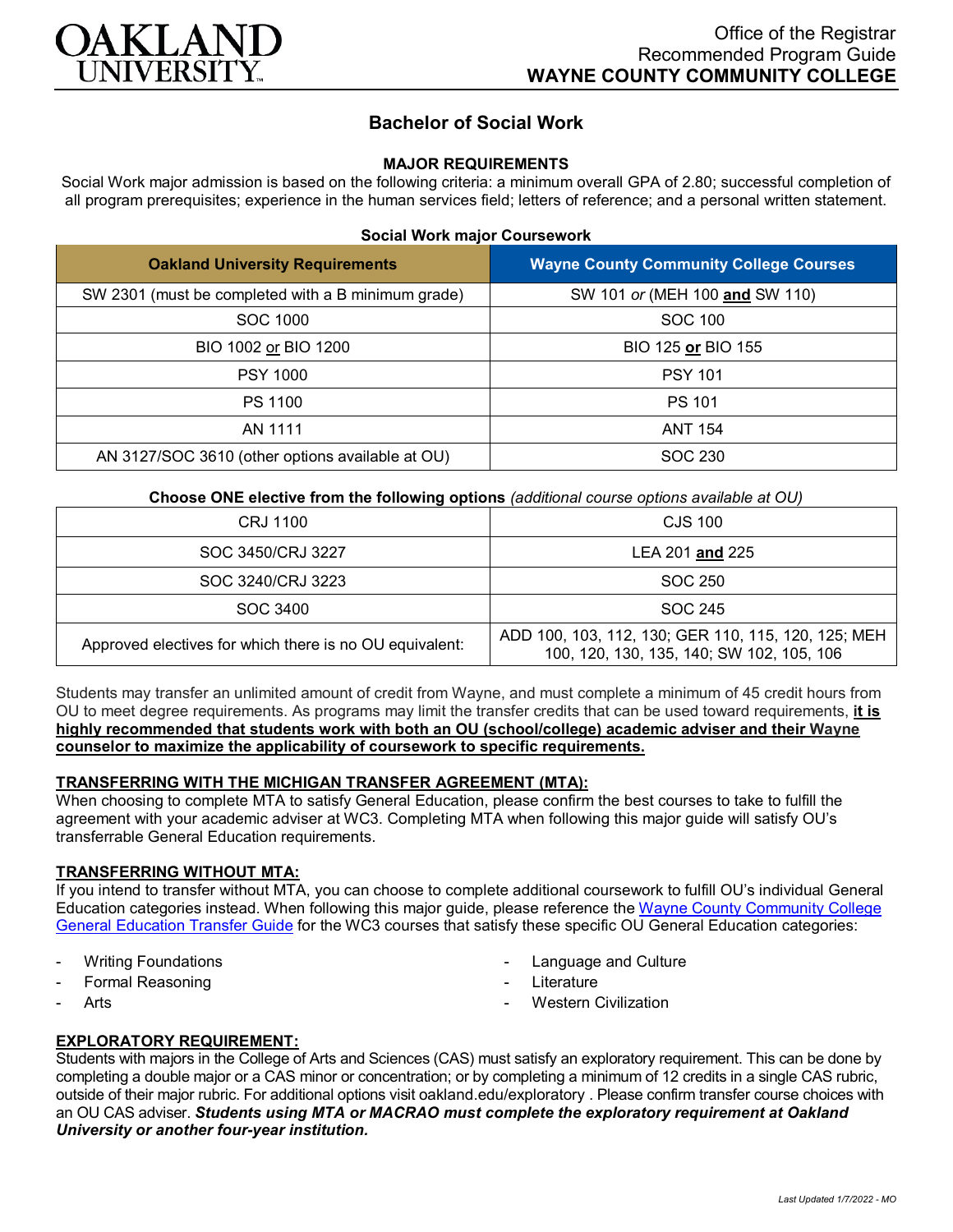

# **Bachelor of Social Work**

### **MAJOR REQUIREMENTS**

Social Work major admission is based on the following criteria: a minimum overall GPA of 2.80; successful completion of all program prerequisites; experience in the human services field; letters of reference; and a personal written statement.

#### **Social Work major Coursework**

| <b>Oakland University Requirements</b>             | <b>Wayne County Community College Courses</b> |
|----------------------------------------------------|-----------------------------------------------|
| SW 2301 (must be completed with a B minimum grade) | SW 101 or (MEH 100 and SW 110)                |
| SOC 1000                                           | SOC 100                                       |
| BIO 1002 or BIO 1200                               | BIO 125 or BIO 155                            |
| <b>PSY 1000</b>                                    | <b>PSY 101</b>                                |
| PS 1100                                            | <b>PS 101</b>                                 |
| AN 1111                                            | <b>ANT 154</b>                                |
| AN 3127/SOC 3610 (other options available at OU)   | SOC 230                                       |

**Choose ONE elective from the following options** *(additional course options available at OU)*

| CRJ 1100                                                | CJS 100                                                                                          |
|---------------------------------------------------------|--------------------------------------------------------------------------------------------------|
| SOC 3450/CRJ 3227                                       | LEA 201 and 225                                                                                  |
| SOC 3240/CRJ 3223                                       | SOC 250                                                                                          |
| SOC 3400                                                | SOC 245                                                                                          |
| Approved electives for which there is no OU equivalent: | ADD 100, 103, 112, 130; GER 110, 115, 120, 125; MEH<br>100, 120, 130, 135, 140; SW 102, 105, 106 |

Students may transfer an unlimited amount of credit from Wayne, and must complete a minimum of 45 credit hours from OU to meet degree requirements. As programs may limit the transfer credits that can be used toward requirements, **it is highly recommended that students work with both an OU (school/college) academic adviser and their Wayne counselor to maximize the applicability of coursework to specific requirements.**

### **TRANSFERRING WITH THE MICHIGAN TRANSFER AGREEMENT (MTA):**

When choosing to complete MTA to satisfy General Education, please confirm the best courses to take to fulfill the agreement with your academic adviser at WC3. Completing MTA when following this major guide will satisfy OU's transferrable General Education requirements.

### **TRANSFERRING WITHOUT MTA:**

If you intend to transfer without MTA, you can choose to complete additional coursework to fulfill OU's individual General Education categories instead. When following this major guide, please reference the [Wayne County Community College](https://www.oakland.edu/Assets/Oakland/program-guides/wayne-county-community-college/university-general-education-requirements/Wayne%20Gen%20Ed.pdf)  [General Education Transfer Guide](https://www.oakland.edu/Assets/Oakland/program-guides/wayne-county-community-college/university-general-education-requirements/Wayne%20Gen%20Ed.pdf) for the WC3 courses that satisfy these specific OU General Education categories:

- **Writing Foundations**
- Formal Reasoning
- **Arts**
- Language and Culture
- Literature
- **Western Civilization**

### **EXPLORATORY REQUIREMENT:**

Students with majors in the College of Arts and Sciences (CAS) must satisfy an exploratory requirement. This can be done by completing a double major or a CAS minor or concentration; or by completing a minimum of 12 credits in a single CAS rubric, outside of their major rubric. For additional options visit [oakland.edu/exploratory](http://www.oakland.edu/exploratory) . Please confirm transfer course choices with an OU CAS adviser. *Students using MTA or MACRAO must complete the exploratory requirement at Oakland University or another four-year institution.*